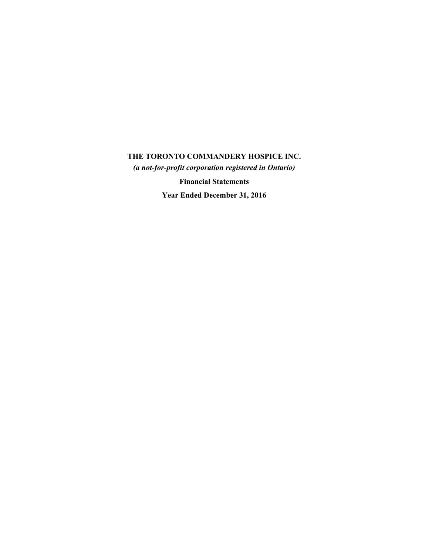*(a not-for-profit corporation registered in Ontario)*

**Financial Statements**

**Year Ended December 31, 2016**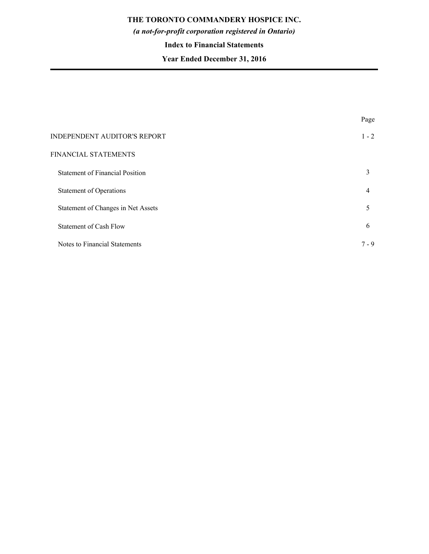# *(a not-for-profit corporation registered in Ontario)*

### **Index to Financial Statements**

# **Year Ended December 31, 2016**

|                                        | Page    |
|----------------------------------------|---------|
| INDEPENDENT AUDITOR'S REPORT           | $1 - 2$ |
| FINANCIAL STATEMENTS                   |         |
| <b>Statement of Financial Position</b> | 3       |
| Statement of Operations                | 4       |
| Statement of Changes in Net Assets     | 5       |
| <b>Statement of Cash Flow</b>          | 6       |
| Notes to Financial Statements          | $7 - 9$ |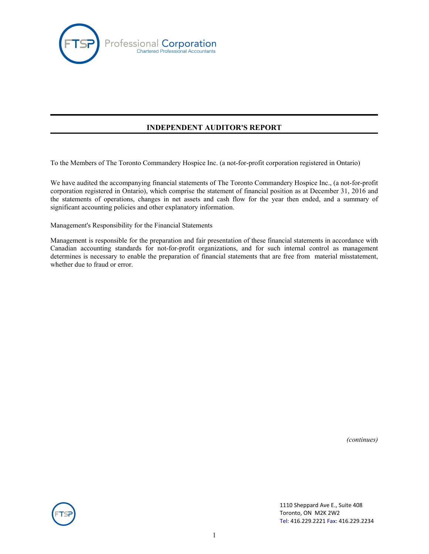

# **INDEPENDENT AUDITOR'S REPORT**

To the Members of The Toronto Commandery Hospice Inc. (a not-for-profit corporation registered in Ontario)

We have audited the accompanying financial statements of The Toronto Commandery Hospice Inc., (a not-for-profit corporation registered in Ontario), which comprise the statement of financial position as at December 31, 2016 and the statements of operations, changes in net assets and cash flow for the year then ended, and a summary of significant accounting policies and other explanatory information.

Management's Responsibility for the Financial Statements

Management is responsible for the preparation and fair presentation of these financial statements in accordance with Canadian accounting standards for not-for-profit organizations, and for such internal control as management determines is necessary to enable the preparation of financial statements that are free from material misstatement, whether due to fraud or error.

*(continues)*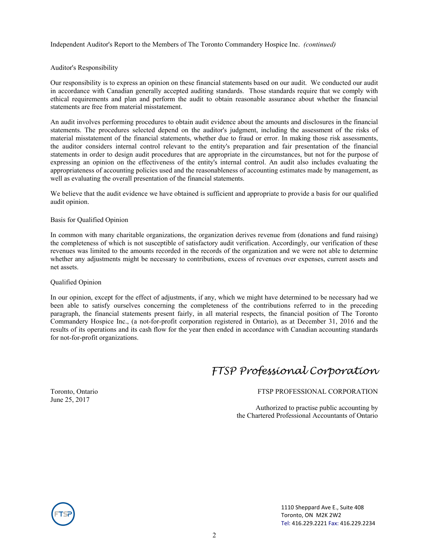Independent Auditor's Report to the Members of The Toronto Commandery Hospice Inc. *(continued)*

#### Auditor's Responsibility

Our responsibility is to express an opinion on these financial statements based on our audit. We conducted our audit in accordance with Canadian generally accepted auditing standards. Those standards require that we comply with ethical requirements and plan and perform the audit to obtain reasonable assurance about whether the financial statements are free from material misstatement.

An audit involves performing procedures to obtain audit evidence about the amounts and disclosures in the financial statements. The procedures selected depend on the auditor's judgment, including the assessment of the risks of material misstatement of the financial statements, whether due to fraud or error. In making those risk assessments, the auditor considers internal control relevant to the entity's preparation and fair presentation of the financial statements in order to design audit procedures that are appropriate in the circumstances, but not for the purpose of expressing an opinion on the effectiveness of the entity's internal control. An audit also includes evaluating the appropriateness of accounting policies used and the reasonableness of accounting estimates made by management, as well as evaluating the overall presentation of the financial statements.

We believe that the audit evidence we have obtained is sufficient and appropriate to provide a basis for our qualified audit opinion.

#### Basis for Qualified Opinion

In common with many charitable organizations, the organization derives revenue from (donations and fund raising) the completeness of which is not susceptible of satisfactory audit verification. Accordingly, our verification of these revenues was limited to the amounts recorded in the records of the organization and we were not able to determine whether any adjustments might be necessary to contributions, excess of revenues over expenses, current assets and net assets.

#### Qualified Opinion

In our opinion, except for the effect of adjustments, if any, which we might have determined to be necessary had we been able to satisfy ourselves concerning the completeness of the contributions referred to in the preceding paragraph, the financial statements present fairly, in all material respects, the financial position of The Toronto Commandery Hospice Inc., (a not-for-profit corporation registered in Ontario), as at December 31, 2016 and the results of its operations and its cash flow for the year then ended in accordance with Canadian accounting standards for not-for-profit organizations.

# *FTSP Professional Corporation*

June 25, 2017

#### Toronto, Ontario FTSP PROFESSIONAL CORPORATION

Authorized to practise public accounting by the Chartered Professional Accountants of Ontario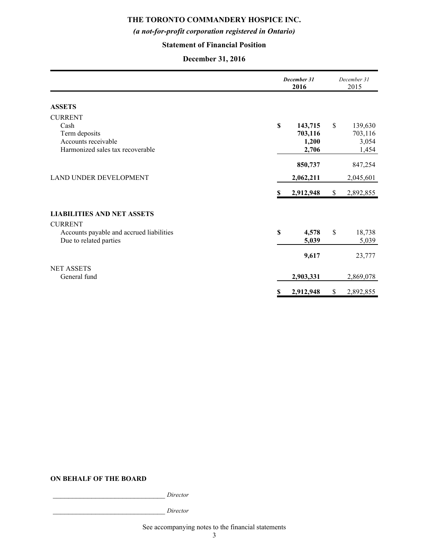# *(a not-for-profit corporation registered in Ontario)*

# **Statement of Financial Position**

# **December 31, 2016**

|                                          |             | December 31<br>2016 |             | December 31<br>2015 |  |
|------------------------------------------|-------------|---------------------|-------------|---------------------|--|
| <b>ASSETS</b>                            |             |                     |             |                     |  |
| <b>CURRENT</b>                           |             |                     |             |                     |  |
| Cash                                     | \$          | 143,715             | \$          | 139,630             |  |
| Term deposits                            |             | 703,116             |             | 703,116             |  |
| Accounts receivable                      |             | 1,200               |             | 3,054               |  |
| Harmonized sales tax recoverable         |             | 2,706               |             | 1,454               |  |
|                                          |             | 850,737             |             | 847,254             |  |
| LAND UNDER DEVELOPMENT                   |             | 2,062,211           |             | 2,045,601           |  |
|                                          | S           | 2,912,948           | \$          | 2,892,855           |  |
| <b>LIABILITIES AND NET ASSETS</b>        |             |                     |             |                     |  |
| <b>CURRENT</b>                           |             |                     |             |                     |  |
| Accounts payable and accrued liabilities | $\mathbf S$ | 4,578               | $\mathbf S$ | 18,738              |  |
| Due to related parties                   |             | 5,039               |             | 5,039               |  |
|                                          |             | 9,617               |             | 23,777              |  |
| <b>NET ASSETS</b>                        |             |                     |             |                     |  |
| General fund                             |             | 2,903,331           |             | 2,869,078           |  |
|                                          | S           | 2,912,948           | \$          | 2,892,855           |  |

### **ON BEHALF OF THE BOARD**

\_\_\_\_\_\_\_\_\_\_\_\_\_\_\_\_\_\_\_\_\_\_\_\_\_\_\_\_\_ *Director*

\_\_\_\_\_\_\_\_\_\_\_\_\_\_\_\_\_\_\_\_\_\_\_\_\_\_\_\_\_ *Director*

See accompanying notes to the financial statements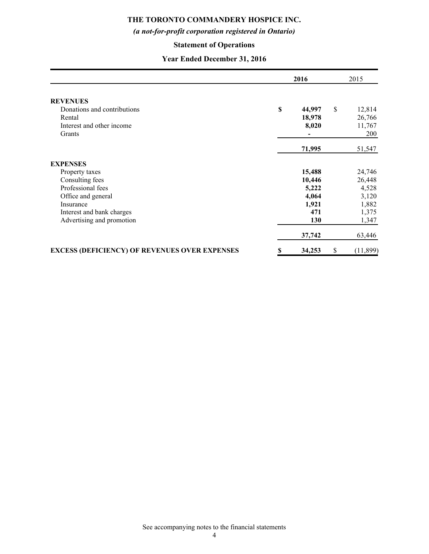# *(a not-for-profit corporation registered in Ontario)*

# **Statement of Operations**

# **Year Ended December 31, 2016**

|                                                      | 2016 |                 | 2015 |                  |
|------------------------------------------------------|------|-----------------|------|------------------|
| <b>REVENUES</b>                                      |      |                 |      |                  |
| Donations and contributions<br>Rental                | \$   | 44,997          | \$   | 12,814<br>26,766 |
| Interest and other income                            |      | 18,978<br>8,020 |      | 11,767           |
| Grants                                               |      |                 |      | 200              |
|                                                      |      |                 |      |                  |
|                                                      |      | 71,995          |      | 51,547           |
| <b>EXPENSES</b>                                      |      |                 |      |                  |
| Property taxes                                       |      | 15,488          |      | 24,746           |
| Consulting fees                                      |      | 10,446          |      | 26,448           |
| Professional fees                                    |      | 5,222           |      | 4,528            |
| Office and general                                   |      | 4,064           |      | 3,120            |
| Insurance                                            |      | 1,921           |      | 1,882            |
| Interest and bank charges                            |      | 471             |      | 1,375            |
| Advertising and promotion                            |      | 130             |      | 1,347            |
|                                                      |      | 37,742          |      | 63,446           |
| <b>EXCESS (DEFICIENCY) OF REVENUES OVER EXPENSES</b> | \$   | 34,253          | \$   | (11, 899)        |

See accompanying notes to the financial statements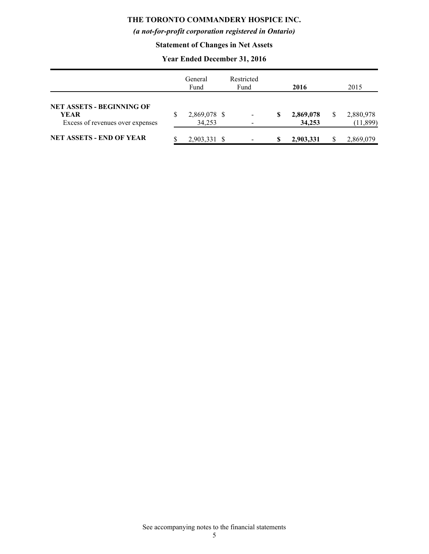# *(a not-for-profit corporation registered in Ontario)*

# **Statement of Changes in Net Assets**

# **Year Ended December 31, 2016**

|                                                                                     | General<br>Fund              | Restricted<br>Fund |   | 2016                | 2015                   |
|-------------------------------------------------------------------------------------|------------------------------|--------------------|---|---------------------|------------------------|
| <b>NET ASSETS - BEGINNING OF</b><br><b>YEAR</b><br>Excess of revenues over expenses | \$<br>2,869,078 \$<br>34,253 |                    | S | 2,869,078<br>34,253 | 2,880,978<br>(11, 899) |
| <b>NET ASSETS - END OF YEAR</b>                                                     | 2,903,331                    |                    |   | 2,903,331           | 2,869,079              |

See accompanying notes to the financial statements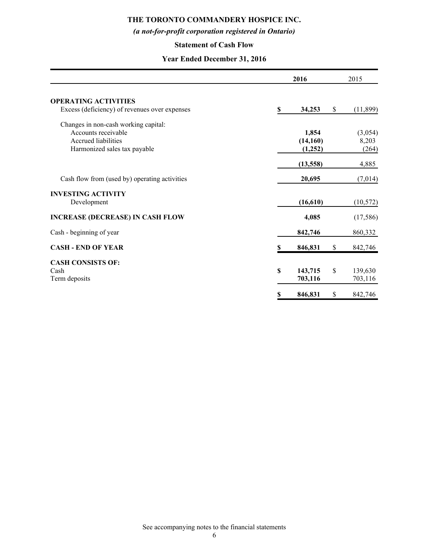# *(a not-for-profit corporation registered in Ontario)*

### **Statement of Cash Flow**

# **Year Ended December 31, 2016**

|                                                                                                                    |    | 2016                          | 2015                      |
|--------------------------------------------------------------------------------------------------------------------|----|-------------------------------|---------------------------|
| <b>OPERATING ACTIVITIES</b><br>Excess (deficiency) of revenues over expenses                                       | \$ | 34,253                        | \$<br>(11,899)            |
| Changes in non-cash working capital:<br>Accounts receivable<br>Accrued liabilities<br>Harmonized sales tax payable |    | 1,854<br>(14, 160)<br>(1,252) | (3,054)<br>8,203<br>(264) |
|                                                                                                                    |    | (13, 558)                     | 4,885                     |
| Cash flow from (used by) operating activities                                                                      |    | 20,695                        | (7,014)                   |
| <b>INVESTING ACTIVITY</b><br>Development                                                                           |    | (16, 610)                     | (10, 572)                 |
| <b>INCREASE (DECREASE) IN CASH FLOW</b>                                                                            |    | 4,085                         | (17, 586)                 |
| Cash - beginning of year                                                                                           |    | 842,746                       | 860,332                   |
| <b>CASH - END OF YEAR</b>                                                                                          | S  | 846,831                       | \$<br>842,746             |
| <b>CASH CONSISTS OF:</b><br>Cash<br>Term deposits                                                                  | \$ | 143,715<br>703,116            | \$<br>139,630<br>703,116  |
|                                                                                                                    | \$ | 846,831                       | \$<br>842,746             |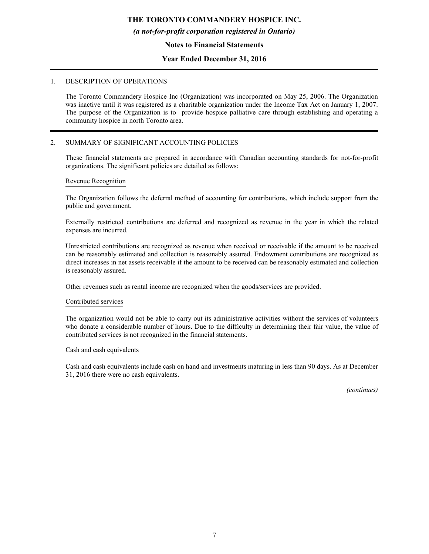#### *(a not-for-profit corporation registered in Ontario)*

#### **Notes to Financial Statements**

#### **Year Ended December 31, 2016**

#### 1. DESCRIPTION OF OPERATIONS

The Toronto Commandery Hospice Inc (Organization) was incorporated on May 25, 2006. The Organization was inactive until it was registered as a charitable organization under the Income Tax Act on January 1, 2007. The purpose of the Organization is to provide hospice palliative care through establishing and operating a community hospice in north Toronto area.

#### 2. SUMMARY OF SIGNIFICANT ACCOUNTING POLICIES

These financial statements are prepared in accordance with Canadian accounting standards for not-for-profit organizations. The significant policies are detailed as follows:

#### Revenue Recognition

The Organization follows the deferral method of accounting for contributions, which include support from the public and government.

Externally restricted contributions are deferred and recognized as revenue in the year in which the related expenses are incurred.

Unrestricted contributions are recognized as revenue when received or receivable if the amount to be received can be reasonably estimated and collection is reasonably assured. Endowment contributions are recognized as direct increases in net assets receivable if the amount to be received can be reasonably estimated and collection is reasonably assured.

Other revenues such as rental income are recognized when the goods/services are provided.

#### Contributed services

The organization would not be able to carry out its administrative activities without the services of volunteers who donate a considerable number of hours. Due to the difficulty in determining their fair value, the value of contributed services is not recognized in the financial statements.

#### Cash and cash equivalents

Cash and cash equivalents include cash on hand and investments maturing in less than 90 days. As at December 31, 2016 there were no cash equivalents.

*(continues)*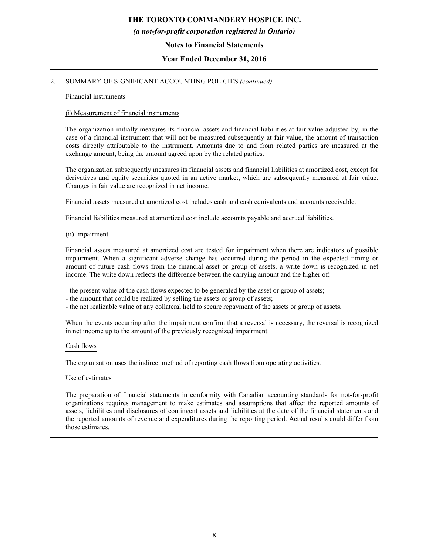#### *(a not-for-profit corporation registered in Ontario)*

#### **Notes to Financial Statements**

#### **Year Ended December 31, 2016**

#### 2. SUMMARY OF SIGNIFICANT ACCOUNTING POLICIES *(continued)*

#### Financial instruments

#### (i) Measurement of financial instruments

The organization initially measures its financial assets and financial liabilities at fair value adjusted by, in the case of a financial instrument that will not be measured subsequently at fair value, the amount of transaction costs directly attributable to the instrument. Amounts due to and from related parties are measured at the exchange amount, being the amount agreed upon by the related parties.

The organization subsequently measures its financial assets and financial liabilities at amortized cost, except for derivatives and equity securities quoted in an active market, which are subsequently measured at fair value. Changes in fair value are recognized in net income.

Financial assets measured at amortized cost includes cash and cash equivalents and accounts receivable.

Financial liabilities measured at amortized cost include accounts payable and accrued liabilities.

#### (ii) Impairment

Financial assets measured at amortized cost are tested for impairment when there are indicators of possible impairment. When a significant adverse change has occurred during the period in the expected timing or amount of future cash flows from the financial asset or group of assets, a write-down is recognized in net income. The write down reflects the difference between the carrying amount and the higher of:

- the present value of the cash flows expected to be generated by the asset or group of assets;

- the amount that could be realized by selling the assets or group of assets;
- the net realizable value of any collateral held to secure repayment of the assets or group of assets.

When the events occurring after the impairment confirm that a reversal is necessary, the reversal is recognized in net income up to the amount of the previously recognized impairment.

#### Cash flows

The organization uses the indirect method of reporting cash flows from operating activities.

#### Use of estimates

The preparation of financial statements in conformity with Canadian accounting standards for not-for-profit organizations requires management to make estimates and assumptions that affect the reported amounts of assets, liabilities and disclosures of contingent assets and liabilities at the date of the financial statements and the reported amounts of revenue and expenditures during the reporting period. Actual results could differ from those estimates.